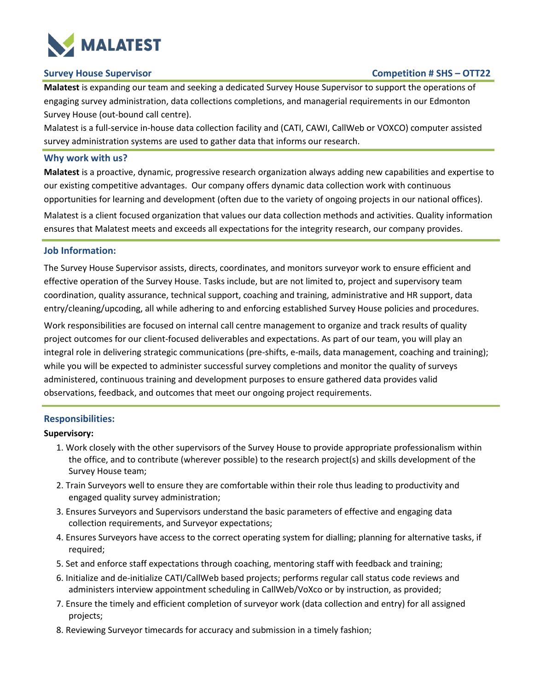

## **Survey House Supervisor Competition # SHS – OTT22**

**Malatest** is expanding our team and seeking a dedicated Survey House Supervisor to support the operations of engaging survey administration, data collections completions, and managerial requirements in our Edmonton Survey House (out-bound call centre).

Malatest is a full-service in-house data collection facility and (CATI, CAWI, CallWeb or VOXCO) computer assisted survey administration systems are used to gather data that informs our research.

### **Why work with us?**

**Malatest** is a proactive, dynamic, progressive research organization always adding new capabilities and expertise to our existing competitive advantages. Our company offers dynamic data collection work with continuous opportunities for learning and development (often due to the variety of ongoing projects in our national offices).

Malatest is a client focused organization that values our data collection methods and activities. Quality information ensures that Malatest meets and exceeds all expectations for the integrity research, our company provides.

#### **Job Information:**

The Survey House Supervisor assists, directs, coordinates, and monitors surveyor work to ensure efficient and effective operation of the Survey House. Tasks include, but are not limited to, project and supervisory team coordination, quality assurance, technical support, coaching and training, administrative and HR support, data entry/cleaning/upcoding, all while adhering to and enforcing established Survey House policies and procedures.

Work responsibilities are focused on internal call centre management to organize and track results of quality project outcomes for our client-focused deliverables and expectations. As part of our team, you will play an integral role in delivering strategic communications (pre-shifts, e-mails, data management, coaching and training); while you will be expected to administer successful survey completions and monitor the quality of surveys administered, continuous training and development purposes to ensure gathered data provides valid observations, feedback, and outcomes that meet our ongoing project requirements.

### **Responsibilities:**

#### **Supervisory:**

- 1. Work closely with the other supervisors of the Survey House to provide appropriate professionalism within the office, and to contribute (wherever possible) to the research project(s) and skills development of the Survey House team;
- 2. Train Surveyors well to ensure they are comfortable within their role thus leading to productivity and engaged quality survey administration;
- 3. Ensures Surveyors and Supervisors understand the basic parameters of effective and engaging data collection requirements, and Surveyor expectations;
- 4. Ensures Surveyors have access to the correct operating system for dialling; planning for alternative tasks, if required;
- 5. Set and enforce staff expectations through coaching, mentoring staff with feedback and training;
- 6. Initialize and de-initialize CATI/CallWeb based projects; performs regular call status code reviews and administers interview appointment scheduling in CallWeb/VoXco or by instruction, as provided;
- 7. Ensure the timely and efficient completion of surveyor work (data collection and entry) for all assigned projects;
- 8. Reviewing Surveyor timecards for accuracy and submission in a timely fashion;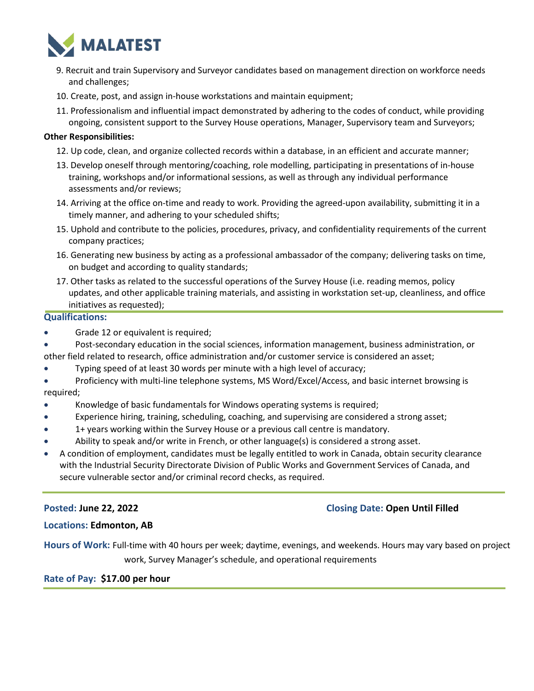

- 9. Recruit and train Supervisory and Surveyor candidates based on management direction on workforce needs and challenges;
- 10. Create, post, and assign in-house workstations and maintain equipment;
- 11. Professionalism and influential impact demonstrated by adhering to the codes of conduct, while providing ongoing, consistent support to the Survey House operations, Manager, Supervisory team and Surveyors;

### **Other Responsibilities:**

- 12. Up code, clean, and organize collected records within a database, in an efficient and accurate manner;
- 13. Develop oneself through mentoring/coaching, role modelling, participating in presentations of in-house training, workshops and/or informational sessions, as well as through any individual performance assessments and/or reviews;
- 14. Arriving at the office on-time and ready to work. Providing the agreed-upon availability, submitting it in a timely manner, and adhering to your scheduled shifts;
- 15. Uphold and contribute to the policies, procedures, privacy, and confidentiality requirements of the current company practices;
- 16. Generating new business by acting as a professional ambassador of the company; delivering tasks on time, on budget and according to quality standards;
- 17. Other tasks as related to the successful operations of the Survey House (i.e. reading memos, policy updates, and other applicable training materials, and assisting in workstation set-up, cleanliness, and office initiatives as requested);

### **Qualifications:**

- Grade 12 or equivalent is required;
- Post-secondary education in the social sciences, information management, business administration, or other field related to research, office administration and/or customer service is considered an asset;
- Typing speed of at least 30 words per minute with a high level of accuracy;
- Proficiency with multi-line telephone systems, MS Word/Excel/Access, and basic internet browsing is required;
- Knowledge of basic fundamentals for Windows operating systems is required;
- Experience hiring, training, scheduling, coaching, and supervising are considered a strong asset;
- 1+ years working within the Survey House or a previous call centre is mandatory.
- Ability to speak and/or write in French, or other language(s) is considered a strong asset.
- A condition of employment, candidates must be legally entitled to work in Canada, obtain security clearance with the Industrial Security Directorate Division of Public Works and Government Services of Canada, and secure vulnerable sector and/or criminal record checks, as required.

# **Posted: June 22, 2022 Closing Date: Open Until Filled**

### **Locations: Edmonton, AB**

**Hours of Work:** Full-time with 40 hours per week; daytime, evenings, and weekends. Hours may vary based on project work, Survey Manager's schedule, and operational requirements

# **Rate of Pay: \$17.00 per hour**